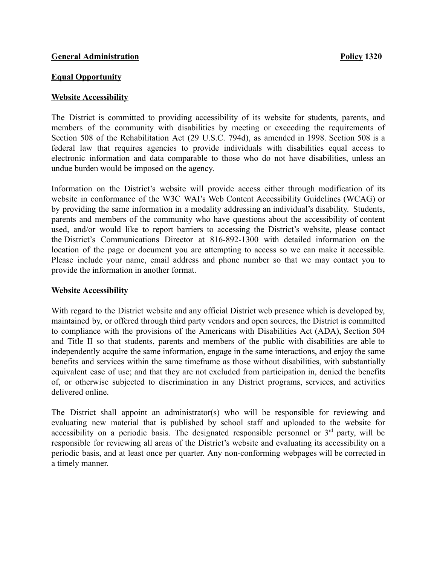## **General Administration Policy1320**

#### **Equal Opportunity**

## **Website Accessibility**

The District is committed to providing accessibility of its website for students, parents, and members of the community with disabilities by meeting or exceeding the requirements of Section 508 of the Rehabilitation Act (29 U.S.C. 794d), as amended in 1998. Section 508 is a federal law that requires agencies to provide individuals with disabilities equal access to electronic information and data comparable to those who do not have disabilities, unless an undue burden would be imposed on the agency.

Information on the District's website will provide access either through modification of its website in conformance of the W3C WAI's Web Content Accessibility Guidelines (WCAG) or by providing the same information in a modality addressing an individual's disability. Students, parents and members of the community who have questions about the accessibility of content used, and/or would like to report barriers to accessing the District's website, please contact the District's Communications Director at 816-892-1300 with detailed information on the location of the page or document you are attempting to access so we can make it accessible. Please include your name, email address and phone number so that we may contact you to provide the information in another format.

# **Website Accessibility**

With regard to the District website and any official District web presence which is developed by, maintained by, or offered through third party vendors and open sources, the District is committed to compliance with the provisions of the Americans with Disabilities Act (ADA), Section 504 and Title II so that students, parents and members of the public with disabilities are able to independently acquire the same information, engage in the same interactions, and enjoy the same benefits and services within the same timeframe as those without disabilities, with substantially equivalent ease of use; and that they are not excluded from participation in, denied the benefits of, or otherwise subjected to discrimination in any District programs, services, and activities delivered online.

The District shall appoint an administrator(s) who will be responsible for reviewing and evaluating new material that is published by school staff and uploaded to the website for accessibility on a periodic basis. The designated responsible personnel or  $3<sup>rd</sup>$  party, will be responsible for reviewing all areas of the District's website and evaluating its accessibility on a periodic basis, and at least once per quarter. Any non-conforming webpages will be corrected in a timely manner.